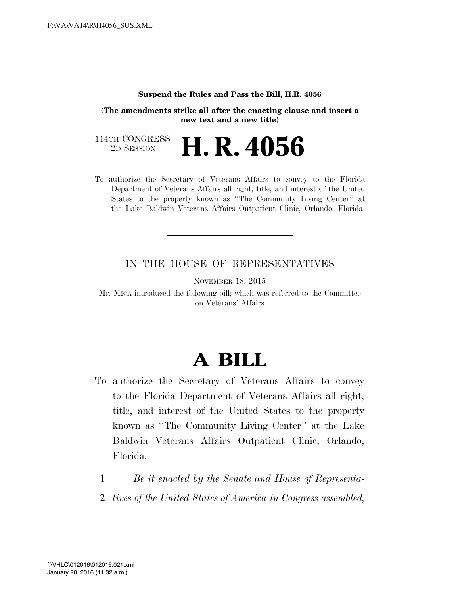## **Suspend the Rules and Pass the Bill, H.R. 4056**

**(The amendments strike all after the enacting clause and insert a new text and a new title)**

114TH CONGRESS<br>2D SESSION 2D SESSION **H. R. 4056**

To authorize the Secretary of Veterans Affairs to convey to the Florida Department of Veterans Affairs all right, title, and interest of the United States to the property known as ''The Community Living Center'' at the Lake Baldwin Veterans Affairs Outpatient Clinic, Orlando, Florida.

## IN THE HOUSE OF REPRESENTATIVES

NOVEMBER 18, 2015

Mr. MICA introduced the following bill; which was referred to the Committee on Veterans' Affairs

## **A BILL**

- To authorize the Secretary of Veterans Affairs to convey to the Florida Department of Veterans Affairs all right, title, and interest of the United States to the property known as ''The Community Living Center'' at the Lake Baldwin Veterans Affairs Outpatient Clinic, Orlando, Florida.
	- 1 *Be it enacted by the Senate and House of Representa-*
	- 2 *tives of the United States of America in Congress assembled,*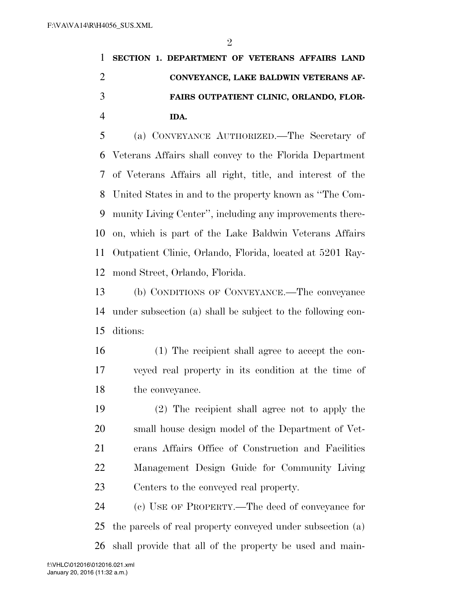**SECTION 1. DEPARTMENT OF VETERANS AFFAIRS LAND CONVEYANCE, LAKE BALDWIN VETERANS AF- FAIRS OUTPATIENT CLINIC, ORLANDO, FLOR-IDA.** 

 (a) CONVEYANCE AUTHORIZED.—The Secretary of Veterans Affairs shall convey to the Florida Department of Veterans Affairs all right, title, and interest of the United States in and to the property known as ''The Com- munity Living Center'', including any improvements there- on, which is part of the Lake Baldwin Veterans Affairs Outpatient Clinic, Orlando, Florida, located at 5201 Ray-mond Street, Orlando, Florida.

 (b) CONDITIONS OF CONVEYANCE.—The conveyance under subsection (a) shall be subject to the following con-ditions:

- (1) The recipient shall agree to accept the con- veyed real property in its condition at the time of the conveyance.
- (2) The recipient shall agree not to apply the small house design model of the Department of Vet- erans Affairs Office of Construction and Facilities Management Design Guide for Community Living Centers to the conveyed real property.

 (c) USE OF PROPERTY.—The deed of conveyance for the parcels of real property conveyed under subsection (a) shall provide that all of the property be used and main